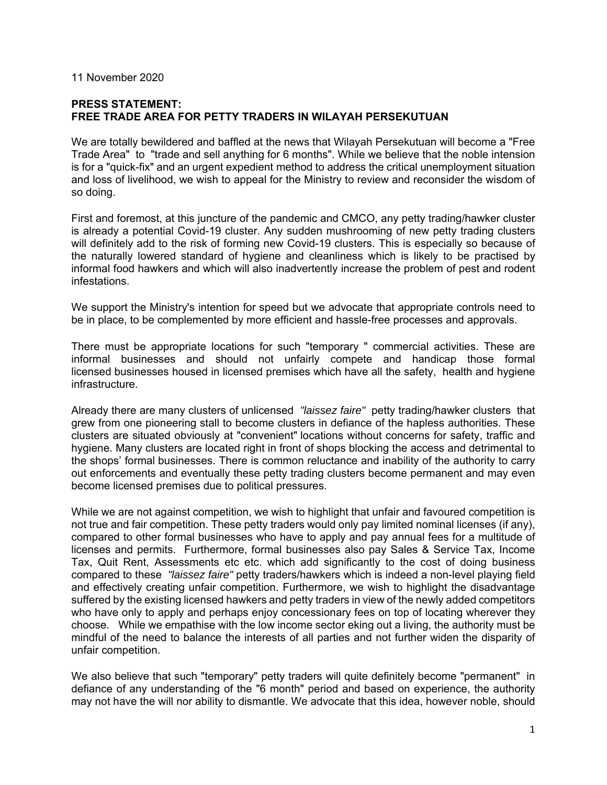## 11 November 2020

## **PRESS STATEMENT: FREE TRADE AREA FOR PETTY TRADERS IN WILAYAH PERSEKUTUAN**

We are totally bewildered and baffled at the news that Wilayah Persekutuan will become a "Free Trade Area" to "trade and sell anything for 6 months". While we believe that the noble intension is for a "quick-fix" and an urgent expedient method to address the critical unemployment situation and loss of livelihood, we wish to appeal for the Ministry to review and reconsider the wisdom of so doing.

First and foremost, at this juncture of the pandemic and CMCO, any petty trading/hawker cluster is already a potential Covid-19 cluster. Any sudden mushrooming of new petty trading clusters will definitely add to the risk of forming new Covid-19 clusters. This is especially so because of the naturally lowered standard of hygiene and cleanliness which is likely to be practised by informal food hawkers and which will also inadvertently increase the problem of pest and rodent infestations.

We support the Ministry's intention for speed but we advocate that appropriate controls need to be in place, to be complemented by more efficient and hassle-free processes and approvals.

There must be appropriate locations for such "temporary " commercial activities. These are informal businesses and should not unfairly compete and handicap those formal licensed businesses housed in licensed premises which have all the safety, health and hygiene infrastructure.

Already there are many clusters of unlicensed *"laissez faire"* petty trading/hawker clusters that grew from one pioneering stall to become clusters in defiance of the hapless authorities. These clusters are situated obviously at "convenient" locations without concerns for safety, traffic and hygiene. Many clusters are located right in front of shops blocking the access and detrimental to the shops' formal businesses. There is common reluctance and inability of the authority to carry out enforcements and eventually these petty trading clusters become permanent and may even become licensed premises due to political pressures.

While we are not against competition, we wish to highlight that unfair and favoured competition is not true and fair competition. These petty traders would only pay limited nominal licenses (if any), compared to other formal businesses who have to apply and pay annual fees for a multitude of licenses and permits. Furthermore, formal businesses also pay Sales & Service Tax, Income Tax, Quit Rent, Assessments etc etc. which add significantly to the cost of doing business compared to these *"laissez faire"* petty traders/hawkers which is indeed a non-level playing field and effectively creating unfair competition. Furthermore, we wish to highlight the disadvantage suffered by the existing licensed hawkers and petty traders in view of the newly added competitors who have only to apply and perhaps enjoy concessionary fees on top of locating wherever they choose. While we empathise with the low income sector eking out a living, the authority must be mindful of the need to balance the interests of all parties and not further widen the disparity of unfair competition.

We also believe that such "temporary" petty traders will quite definitely become "permanent" in defiance of any understanding of the "6 month" period and based on experience, the authority may not have the will nor ability to dismantle. We advocate that this idea, however noble, should